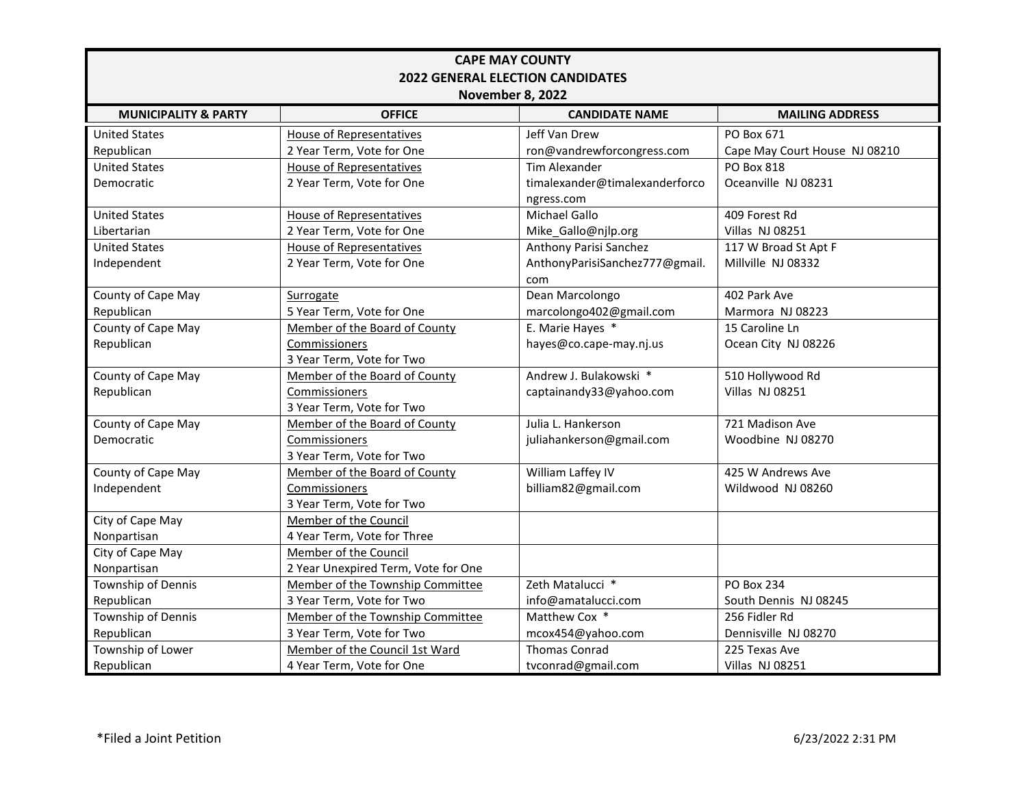| <b>CAPE MAY COUNTY</b>                  |                                     |                                |                               |  |  |
|-----------------------------------------|-------------------------------------|--------------------------------|-------------------------------|--|--|
| <b>2022 GENERAL ELECTION CANDIDATES</b> |                                     |                                |                               |  |  |
| <b>November 8, 2022</b>                 |                                     |                                |                               |  |  |
| <b>MUNICIPALITY &amp; PARTY</b>         | <b>OFFICE</b>                       | <b>CANDIDATE NAME</b>          | <b>MAILING ADDRESS</b>        |  |  |
| <b>United States</b>                    | <b>House of Representatives</b>     | Jeff Van Drew                  | PO Box 671                    |  |  |
| Republican                              | 2 Year Term, Vote for One           | ron@vandrewforcongress.com     | Cape May Court House NJ 08210 |  |  |
| <b>United States</b>                    | House of Representatives            | <b>Tim Alexander</b>           | <b>PO Box 818</b>             |  |  |
| Democratic                              | 2 Year Term, Vote for One           | timalexander@timalexanderforco | Oceanville NJ 08231           |  |  |
|                                         |                                     | ngress.com                     |                               |  |  |
| <b>United States</b>                    | <b>House of Representatives</b>     | Michael Gallo                  | 409 Forest Rd                 |  |  |
| Libertarian                             | 2 Year Term, Vote for One           | Mike_Gallo@njlp.org            | <b>Villas NJ 08251</b>        |  |  |
| <b>United States</b>                    | <b>House of Representatives</b>     | Anthony Parisi Sanchez         | 117 W Broad St Apt F          |  |  |
| Independent                             | 2 Year Term, Vote for One           | AnthonyParisiSanchez777@gmail. | Millville NJ 08332            |  |  |
|                                         |                                     | com                            |                               |  |  |
| County of Cape May                      | Surrogate                           | Dean Marcolongo                | 402 Park Ave                  |  |  |
| Republican                              | 5 Year Term, Vote for One           | marcolongo402@gmail.com        | Marmora NJ 08223              |  |  |
| County of Cape May                      | Member of the Board of County       | E. Marie Hayes *               | 15 Caroline Ln                |  |  |
| Republican                              | Commissioners                       | hayes@co.cape-may.nj.us        | Ocean City NJ 08226           |  |  |
|                                         | 3 Year Term, Vote for Two           |                                |                               |  |  |
| County of Cape May                      | Member of the Board of County       | Andrew J. Bulakowski *         | 510 Hollywood Rd              |  |  |
| Republican                              | Commissioners                       | captainandy33@yahoo.com        | <b>Villas NJ 08251</b>        |  |  |
|                                         | 3 Year Term, Vote for Two           |                                |                               |  |  |
| County of Cape May                      | Member of the Board of County       | Julia L. Hankerson             | 721 Madison Ave               |  |  |
| Democratic                              | Commissioners                       | juliahankerson@gmail.com       | Woodbine NJ 08270             |  |  |
|                                         | 3 Year Term, Vote for Two           |                                |                               |  |  |
| County of Cape May                      | Member of the Board of County       | William Laffey IV              | 425 W Andrews Ave             |  |  |
| Independent                             | Commissioners                       | billiam82@gmail.com            | Wildwood NJ 08260             |  |  |
|                                         | 3 Year Term, Vote for Two           |                                |                               |  |  |
| City of Cape May                        | Member of the Council               |                                |                               |  |  |
| Nonpartisan                             | 4 Year Term, Vote for Three         |                                |                               |  |  |
| City of Cape May                        | Member of the Council               |                                |                               |  |  |
| Nonpartisan                             | 2 Year Unexpired Term, Vote for One |                                |                               |  |  |
| Township of Dennis                      | Member of the Township Committee    | Zeth Matalucci *               | <b>PO Box 234</b>             |  |  |
| Republican                              | 3 Year Term, Vote for Two           | info@amatalucci.com            | South Dennis NJ 08245         |  |  |
| Township of Dennis                      | Member of the Township Committee    | Matthew Cox *                  | 256 Fidler Rd                 |  |  |
| Republican                              | 3 Year Term, Vote for Two           | mcox454@yahoo.com              | Dennisville NJ 08270          |  |  |
| Township of Lower                       | Member of the Council 1st Ward      | <b>Thomas Conrad</b>           | 225 Texas Ave                 |  |  |
| Republican                              | 4 Year Term, Vote for One           | tvconrad@gmail.com             | <b>Villas NJ 08251</b>        |  |  |